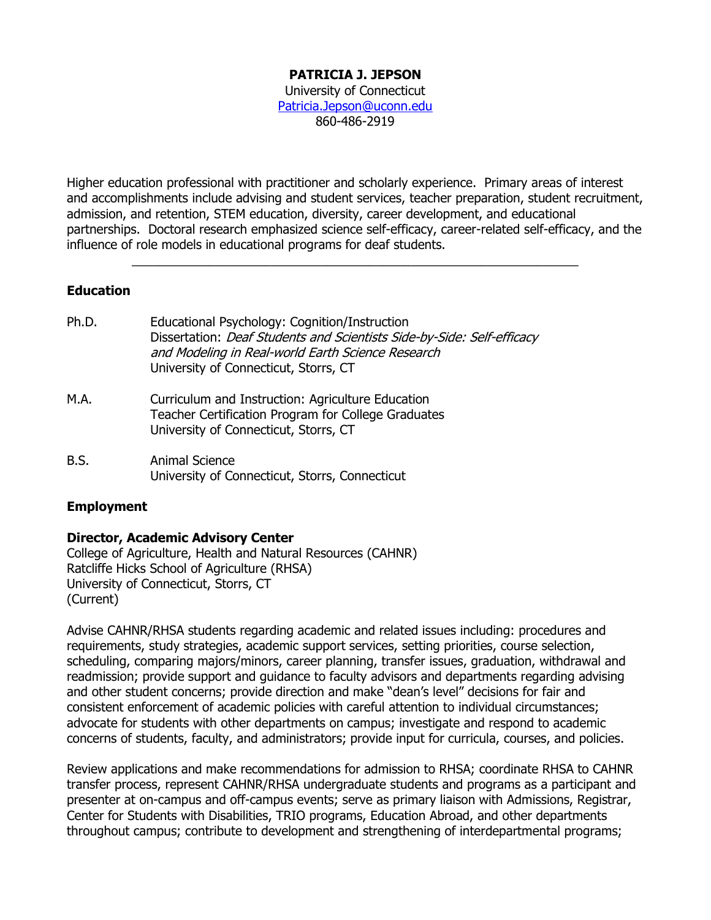### **PATRICIA J. JEPSON**

University of Connecticut [Patricia.Jepson@uconn.edu](mailto:Patricia.Jepson@uconn.edu) 860-486-2919

Higher education professional with practitioner and scholarly experience. Primary areas of interest and accomplishments include advising and student services, teacher preparation, student recruitment, admission, and retention, STEM education, diversity, career development, and educational partnerships. Doctoral research emphasized science self-efficacy, career-related self-efficacy, and the influence of role models in educational programs for deaf students.

 $\mathcal{L}_\text{G} = \mathcal{L}_\text{G} = \mathcal{L}_\text{G} = \mathcal{L}_\text{G} = \mathcal{L}_\text{G} = \mathcal{L}_\text{G} = \mathcal{L}_\text{G} = \mathcal{L}_\text{G} = \mathcal{L}_\text{G} = \mathcal{L}_\text{G} = \mathcal{L}_\text{G} = \mathcal{L}_\text{G} = \mathcal{L}_\text{G} = \mathcal{L}_\text{G} = \mathcal{L}_\text{G} = \mathcal{L}_\text{G} = \mathcal{L}_\text{G} = \mathcal{L}_\text{G} = \mathcal{$ 

### **Education**

- Ph.D. Educational Psychology: Cognition/Instruction Dissertation: Deaf Students and Scientists Side-by-Side: Self-efficacy and Modeling in Real-world Earth Science Research University of Connecticut, Storrs, CT
- M.A. Curriculum and Instruction: Agriculture Education Teacher Certification Program for College Graduates University of Connecticut, Storrs, CT
- B.S. Animal Science University of Connecticut, Storrs, Connecticut

### **Employment**

#### **Director, Academic Advisory Center**

College of Agriculture, Health and Natural Resources (CAHNR) Ratcliffe Hicks School of Agriculture (RHSA) University of Connecticut, Storrs, CT (Current)

Advise CAHNR/RHSA students regarding academic and related issues including: procedures and requirements, study strategies, academic support services, setting priorities, course selection, scheduling, comparing majors/minors, career planning, transfer issues, graduation, withdrawal and readmission; provide support and guidance to faculty advisors and departments regarding advising and other student concerns; provide direction and make "dean's level" decisions for fair and consistent enforcement of academic policies with careful attention to individual circumstances; advocate for students with other departments on campus; investigate and respond to academic concerns of students, faculty, and administrators; provide input for curricula, courses, and policies.

Review applications and make recommendations for admission to RHSA; coordinate RHSA to CAHNR transfer process, represent CAHNR/RHSA undergraduate students and programs as a participant and presenter at on-campus and off-campus events; serve as primary liaison with Admissions, Registrar, Center for Students with Disabilities, TRIO programs, Education Abroad, and other departments throughout campus; contribute to development and strengthening of interdepartmental programs;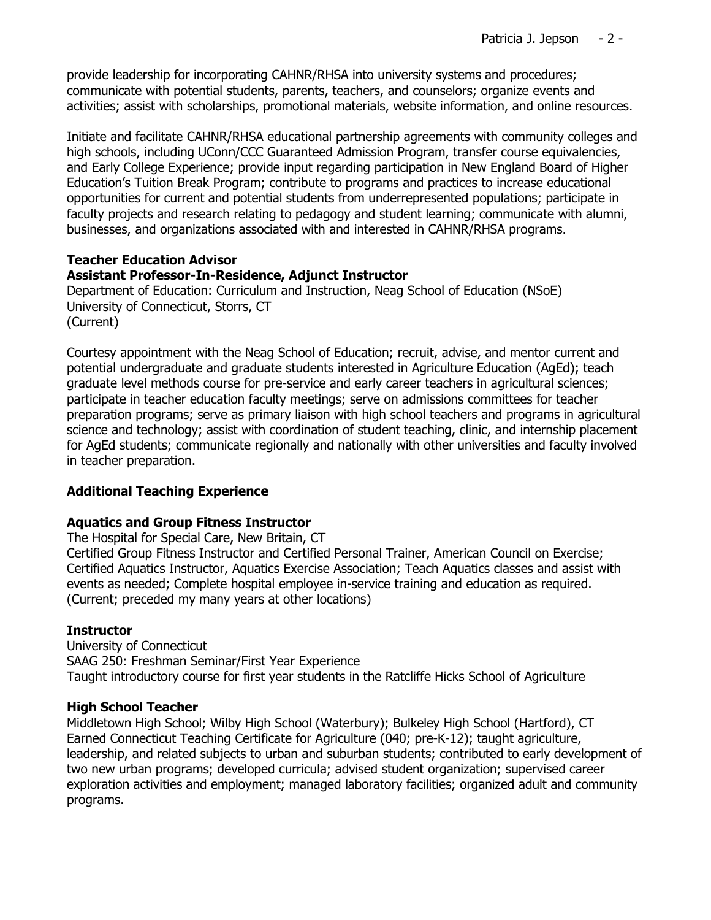provide leadership for incorporating CAHNR/RHSA into university systems and procedures; communicate with potential students, parents, teachers, and counselors; organize events and activities; assist with scholarships, promotional materials, website information, and online resources.

Initiate and facilitate CAHNR/RHSA educational partnership agreements with community colleges and high schools, including UConn/CCC Guaranteed Admission Program, transfer course equivalencies, and Early College Experience; provide input regarding participation in New England Board of Higher Education's Tuition Break Program; contribute to programs and practices to increase educational opportunities for current and potential students from underrepresented populations; participate in faculty projects and research relating to pedagogy and student learning; communicate with alumni, businesses, and organizations associated with and interested in CAHNR/RHSA programs.

### **Teacher Education Advisor**

## **Assistant Professor-In-Residence, Adjunct Instructor**

Department of Education: Curriculum and Instruction, Neag School of Education (NSoE) University of Connecticut, Storrs, CT (Current)

Courtesy appointment with the Neag School of Education; recruit, advise, and mentor current and potential undergraduate and graduate students interested in Agriculture Education (AgEd); teach graduate level methods course for pre-service and early career teachers in agricultural sciences; participate in teacher education faculty meetings; serve on admissions committees for teacher preparation programs; serve as primary liaison with high school teachers and programs in agricultural science and technology; assist with coordination of student teaching, clinic, and internship placement for AgEd students; communicate regionally and nationally with other universities and faculty involved in teacher preparation.

## **Additional Teaching Experience**

### **Aquatics and Group Fitness Instructor**

The Hospital for Special Care, New Britain, CT Certified Group Fitness Instructor and Certified Personal Trainer, American Council on Exercise; Certified Aquatics Instructor, Aquatics Exercise Association; Teach Aquatics classes and assist with events as needed; Complete hospital employee in-service training and education as required. (Current; preceded my many years at other locations)

### **Instructor**

University of Connecticut SAAG 250: Freshman Seminar/First Year Experience Taught introductory course for first year students in the Ratcliffe Hicks School of Agriculture

### **High School Teacher**

Middletown High School; Wilby High School (Waterbury); Bulkeley High School (Hartford), CT Earned Connecticut Teaching Certificate for Agriculture (040; pre-K-12); taught agriculture, leadership, and related subjects to urban and suburban students; contributed to early development of two new urban programs; developed curricula; advised student organization; supervised career exploration activities and employment; managed laboratory facilities; organized adult and community programs.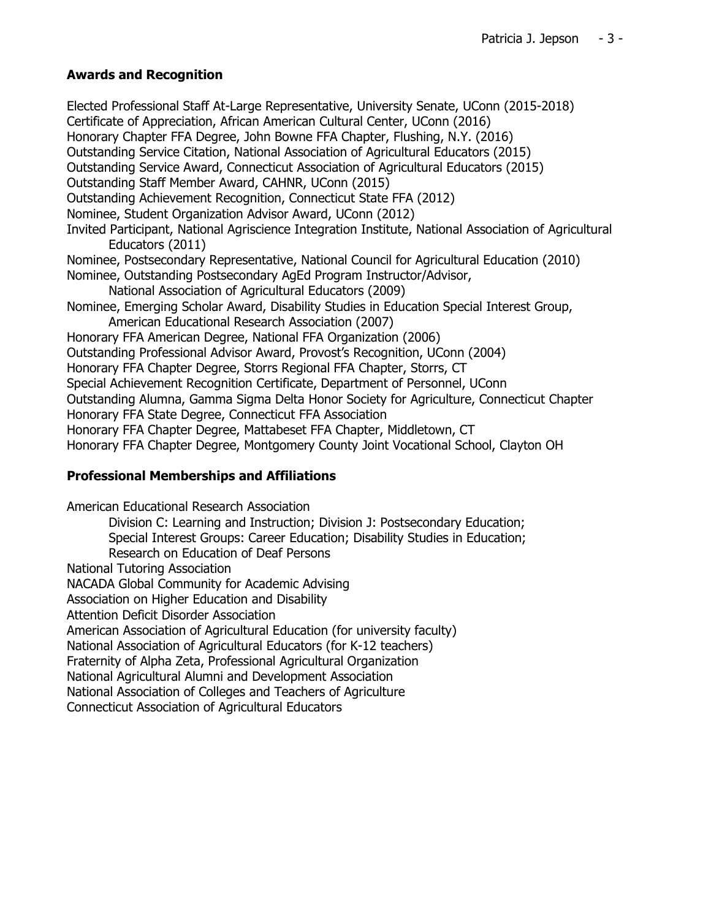# **Awards and Recognition**

Elected Professional Staff At-Large Representative, University Senate, UConn (2015-2018) Certificate of Appreciation, African American Cultural Center, UConn (2016) Honorary Chapter FFA Degree, John Bowne FFA Chapter, Flushing, N.Y. (2016) Outstanding Service Citation, National Association of Agricultural Educators (2015) Outstanding Service Award, Connecticut Association of Agricultural Educators (2015) Outstanding Staff Member Award, CAHNR, UConn (2015) Outstanding Achievement Recognition, Connecticut State FFA (2012) Nominee, Student Organization Advisor Award, UConn (2012) Invited Participant, National Agriscience Integration Institute, National Association of Agricultural Educators (2011) Nominee, Postsecondary Representative, National Council for Agricultural Education (2010) Nominee, Outstanding Postsecondary AgEd Program Instructor/Advisor, National Association of Agricultural Educators (2009) Nominee, Emerging Scholar Award, Disability Studies in Education Special Interest Group, American Educational Research Association (2007) Honorary FFA American Degree, National FFA Organization (2006) Outstanding Professional Advisor Award, Provost's Recognition, UConn (2004) Honorary FFA Chapter Degree, Storrs Regional FFA Chapter, Storrs, CT Special Achievement Recognition Certificate, Department of Personnel, UConn Outstanding Alumna, Gamma Sigma Delta Honor Society for Agriculture, Connecticut Chapter Honorary FFA State Degree, Connecticut FFA Association Honorary FFA Chapter Degree, Mattabeset FFA Chapter, Middletown, CT Honorary FFA Chapter Degree, Montgomery County Joint Vocational School, Clayton OH

## **Professional Memberships and Affiliations**

American Educational Research Association Division C: Learning and Instruction; Division J: Postsecondary Education; Special Interest Groups: Career Education; Disability Studies in Education; Research on Education of Deaf Persons National Tutoring Association NACADA Global Community for Academic Advising Association on Higher Education and Disability Attention Deficit Disorder Association American Association of Agricultural Education (for university faculty) National Association of Agricultural Educators (for K-12 teachers) Fraternity of Alpha Zeta, Professional Agricultural Organization National Agricultural Alumni and Development Association National Association of Colleges and Teachers of Agriculture Connecticut Association of Agricultural Educators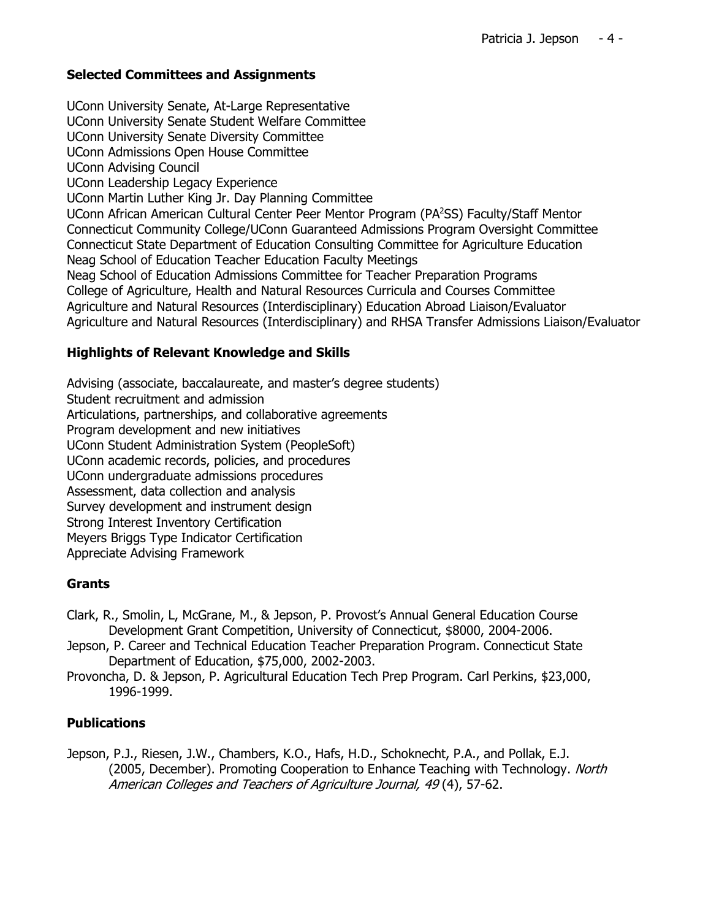### **Selected Committees and Assignments**

UConn University Senate, At-Large Representative UConn University Senate Student Welfare Committee UConn University Senate Diversity Committee UConn Admissions Open House Committee UConn Advising Council UConn Leadership Legacy Experience UConn Martin Luther King Jr. Day Planning Committee UConn African American Cultural Center Peer Mentor Program (PA<sup>2</sup>SS) Faculty/Staff Mentor Connecticut Community College/UConn Guaranteed Admissions Program Oversight Committee Connecticut State Department of Education Consulting Committee for Agriculture Education Neag School of Education Teacher Education Faculty Meetings Neag School of Education Admissions Committee for Teacher Preparation Programs College of Agriculture, Health and Natural Resources Curricula and Courses Committee Agriculture and Natural Resources (Interdisciplinary) Education Abroad Liaison/Evaluator Agriculture and Natural Resources (Interdisciplinary) and RHSA Transfer Admissions Liaison/Evaluator

### **Highlights of Relevant Knowledge and Skills**

Advising (associate, baccalaureate, and master's degree students) Student recruitment and admission Articulations, partnerships, and collaborative agreements Program development and new initiatives UConn Student Administration System (PeopleSoft) UConn academic records, policies, and procedures UConn undergraduate admissions procedures Assessment, data collection and analysis Survey development and instrument design Strong Interest Inventory Certification Meyers Briggs Type Indicator Certification Appreciate Advising Framework

## **Grants**

- Clark, R., Smolin, L, McGrane, M., & Jepson, P. Provost's Annual General Education Course Development Grant Competition, University of Connecticut, \$8000, 2004-2006.
- Jepson, P. Career and Technical Education Teacher Preparation Program. Connecticut State Department of Education, \$75,000, 2002-2003.
- Provoncha, D. & Jepson, P. Agricultural Education Tech Prep Program. Carl Perkins, \$23,000, 1996-1999.

## **Publications**

Jepson, P.J., Riesen, J.W., Chambers, K.O., Hafs, H.D., Schoknecht, P.A., and Pollak, E.J. (2005, December). Promoting Cooperation to Enhance Teaching with Technology. North American Colleges and Teachers of Agriculture Journal, 49 (4), 57-62.